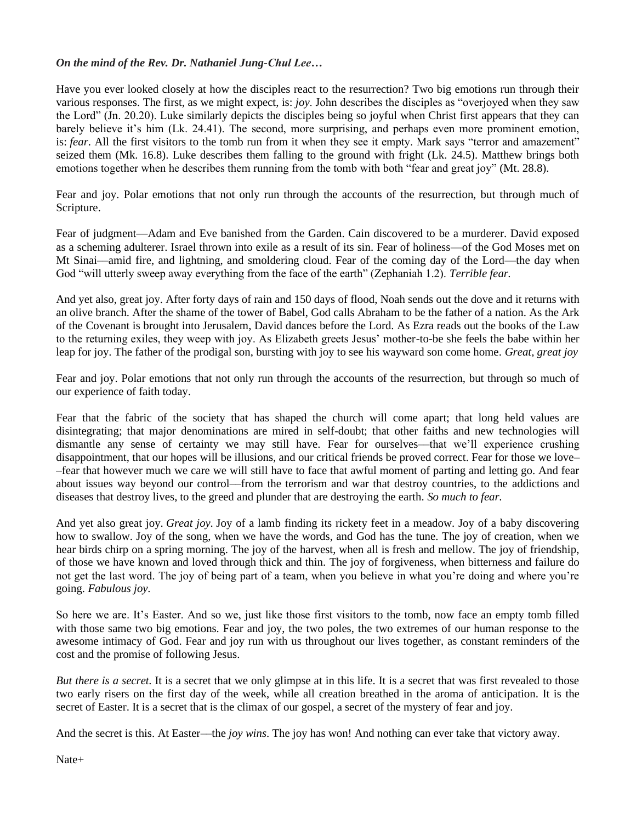## *On the mind of the Rev. Dr. Nathaniel Jung-Chul Lee…*

Have you ever looked closely at how the disciples react to the resurrection? Two big emotions run through their various responses. The first, as we might expect, is: *joy*. John describes the disciples as "overjoyed when they saw the Lord" (Jn. 20.20). Luke similarly depicts the disciples being so joyful when Christ first appears that they can barely believe it's him (Lk. 24.41). The second, more surprising, and perhaps even more prominent emotion, is: *fear*. All the first visitors to the tomb run from it when they see it empty. Mark says "terror and amazement" seized them (Mk. 16.8). Luke describes them falling to the ground with fright (Lk. 24.5). Matthew brings both emotions together when he describes them running from the tomb with both "fear and great joy" (Mt. 28.8).

Fear and joy. Polar emotions that not only run through the accounts of the resurrection, but through much of Scripture.

Fear of judgment—Adam and Eve banished from the Garden. Cain discovered to be a murderer. David exposed as a scheming adulterer. Israel thrown into exile as a result of its sin. Fear of holiness—of the God Moses met on Mt Sinai––amid fire, and lightning, and smoldering cloud. Fear of the coming day of the Lord—the day when God "will utterly sweep away everything from the face of the earth" (Zephaniah 1.2). *Terrible fear.*

And yet also, great joy. After forty days of rain and 150 days of flood, Noah sends out the dove and it returns with an olive branch. After the shame of the tower of Babel, God calls Abraham to be the father of a nation. As the Ark of the Covenant is brought into Jerusalem, David dances before the Lord. As Ezra reads out the books of the Law to the returning exiles, they weep with joy. As Elizabeth greets Jesus' mother-to-be she feels the babe within her leap for joy. The father of the prodigal son, bursting with joy to see his wayward son come home. *Great, great joy*

Fear and joy. Polar emotions that not only run through the accounts of the resurrection, but through so much of our experience of faith today.

Fear that the fabric of the society that has shaped the church will come apart; that long held values are disintegrating; that major denominations are mired in self-doubt; that other faiths and new technologies will dismantle any sense of certainty we may still have. Fear for ourselves––that we'll experience crushing disappointment, that our hopes will be illusions, and our critical friends be proved correct. Fear for those we love– –fear that however much we care we will still have to face that awful moment of parting and letting go. And fear about issues way beyond our control––from the terrorism and war that destroy countries, to the addictions and diseases that destroy lives, to the greed and plunder that are destroying the earth. *So much to fear.*

And yet also great joy. *Great joy.* Joy of a lamb finding its rickety feet in a meadow. Joy of a baby discovering how to swallow. Joy of the song, when we have the words, and God has the tune. The joy of creation, when we hear birds chirp on a spring morning. The joy of the harvest, when all is fresh and mellow. The joy of friendship, of those we have known and loved through thick and thin. The joy of forgiveness, when bitterness and failure do not get the last word. The joy of being part of a team, when you believe in what you're doing and where you're going. *Fabulous joy.*

So here we are. It's Easter. And so we, just like those first visitors to the tomb, now face an empty tomb filled with those same two big emotions. Fear and joy, the two poles, the two extremes of our human response to the awesome intimacy of God. Fear and joy run with us throughout our lives together, as constant reminders of the cost and the promise of following Jesus.

*But there is a secret.* It is a secret that we only glimpse at in this life. It is a secret that was first revealed to those two early risers on the first day of the week, while all creation breathed in the aroma of anticipation. It is the secret of Easter. It is a secret that is the climax of our gospel, a secret of the mystery of fear and joy.

And the secret is this. At Easter––the *joy wins*. The joy has won! And nothing can ever take that victory away.

Nate+